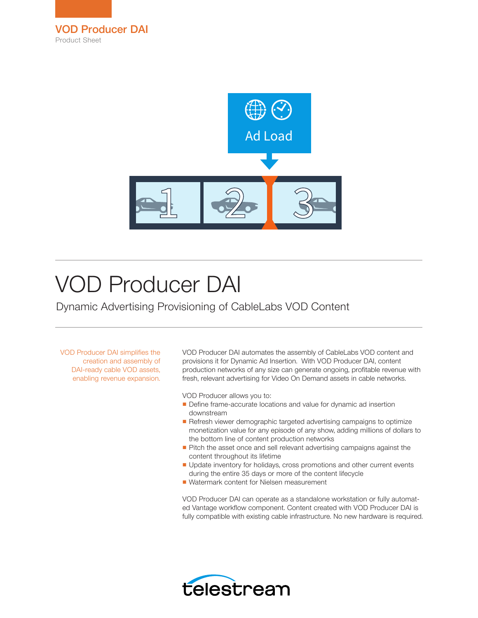



# VOD Producer DAI

Dynamic Advertising Provisioning of CableLabs VOD Content

VOD Producer DAI simplifies the creation and assembly of DAI-ready cable VOD assets, enabling revenue expansion. VOD Producer DAI automates the assembly of CableLabs VOD content and provisions it for Dynamic Ad Insertion. With VOD Producer DAI, content production networks of any size can generate ongoing, profitable revenue with fresh, relevant advertising for Video On Demand assets in cable networks.

VOD Producer allows you to:

- Define frame-accurate locations and value for dynamic ad insertion downstream
- Refresh viewer demographic targeted advertising campaigns to optimize monetization value for any episode of any show, adding millions of dollars to the bottom line of content production networks
- Pitch the asset once and sell relevant advertising campaigns against the content throughout its lifetime
- Update inventory for holidays, cross promotions and other current events during the entire 35 days or more of the content lifecycle
- Watermark content for Nielsen measurement

VOD Producer DAI can operate as a standalone workstation or fully automated Vantage workflow component. Content created with VOD Producer DAI is fully compatible with existing cable infrastructure. No new hardware is required.

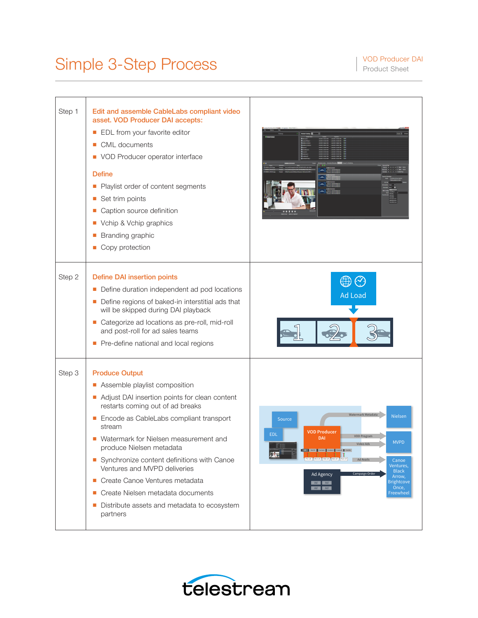## Simple 3-Step Process Process Product Sheet